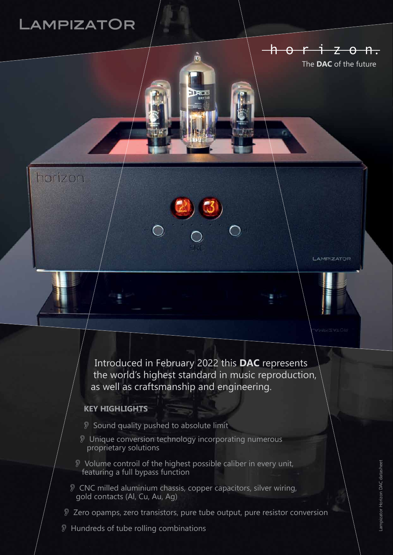# **AMPIZATOR**

horizon

LAMPIZATOR

h o r i z o n.

The **DAC** of the future

Introduced in February 2022 this **DAC** represents the world's highest standard in music reproduction, as well as craftsmanship and engineering.

### **KEY HIGHLIGHTS**

- O Sound quality pushed to absolute limit
- O Unique conversion technology incorporating numerous proprietary solutions
- O Volume controil of the highest possible caliber in every unit, featuring a full bypass function
- O CNC milled aluminium chassis, copper capacitors, silver wiring, gold contacts (Al, Cu, Au, Ag)
- O Zero opamps, zero transistors, pure tube output, pure resistor conversion
- **D** Hundreds of tube rolling combinations